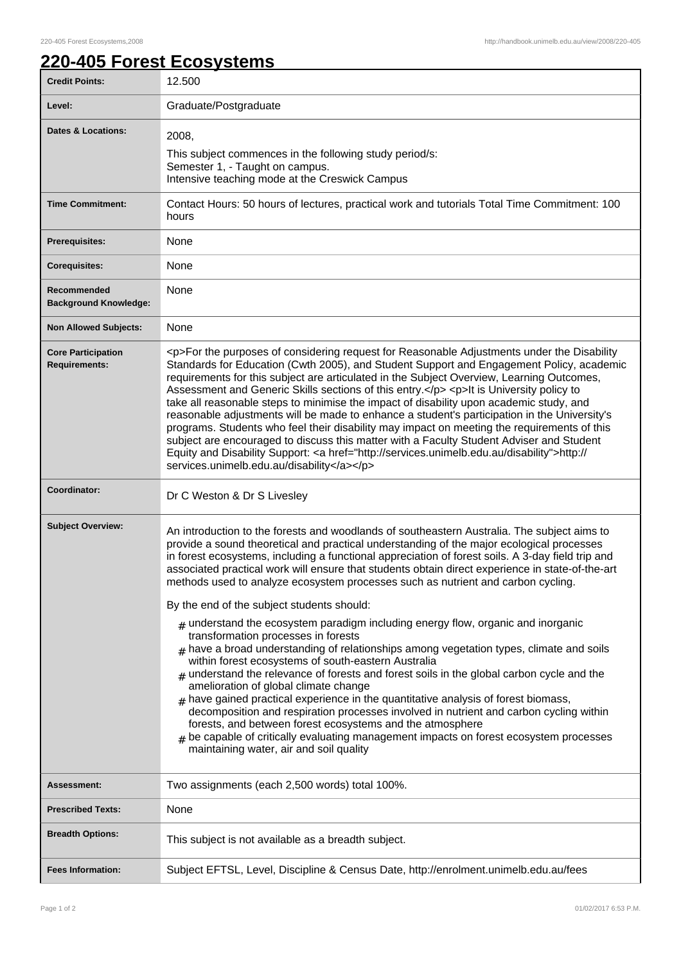## **220-405 Forest Ecosystems**

| <b>Credit Points:</b>                             | 12.500                                                                                                                                                                                                                                                                                                                                                                                                                                                                                                                                                                                                                                                                                                                                                                                                                                                                                                                                                                                                                                                                                                                                                                                                                                                                                                                                                     |
|---------------------------------------------------|------------------------------------------------------------------------------------------------------------------------------------------------------------------------------------------------------------------------------------------------------------------------------------------------------------------------------------------------------------------------------------------------------------------------------------------------------------------------------------------------------------------------------------------------------------------------------------------------------------------------------------------------------------------------------------------------------------------------------------------------------------------------------------------------------------------------------------------------------------------------------------------------------------------------------------------------------------------------------------------------------------------------------------------------------------------------------------------------------------------------------------------------------------------------------------------------------------------------------------------------------------------------------------------------------------------------------------------------------------|
| Level:                                            | Graduate/Postgraduate                                                                                                                                                                                                                                                                                                                                                                                                                                                                                                                                                                                                                                                                                                                                                                                                                                                                                                                                                                                                                                                                                                                                                                                                                                                                                                                                      |
| Dates & Locations:                                | 2008,<br>This subject commences in the following study period/s:<br>Semester 1, - Taught on campus.<br>Intensive teaching mode at the Creswick Campus                                                                                                                                                                                                                                                                                                                                                                                                                                                                                                                                                                                                                                                                                                                                                                                                                                                                                                                                                                                                                                                                                                                                                                                                      |
| <b>Time Commitment:</b>                           | Contact Hours: 50 hours of lectures, practical work and tutorials Total Time Commitment: 100<br>hours                                                                                                                                                                                                                                                                                                                                                                                                                                                                                                                                                                                                                                                                                                                                                                                                                                                                                                                                                                                                                                                                                                                                                                                                                                                      |
| Prerequisites:                                    | None                                                                                                                                                                                                                                                                                                                                                                                                                                                                                                                                                                                                                                                                                                                                                                                                                                                                                                                                                                                                                                                                                                                                                                                                                                                                                                                                                       |
| <b>Corequisites:</b>                              | None                                                                                                                                                                                                                                                                                                                                                                                                                                                                                                                                                                                                                                                                                                                                                                                                                                                                                                                                                                                                                                                                                                                                                                                                                                                                                                                                                       |
| Recommended<br><b>Background Knowledge:</b>       | None                                                                                                                                                                                                                                                                                                                                                                                                                                                                                                                                                                                                                                                                                                                                                                                                                                                                                                                                                                                                                                                                                                                                                                                                                                                                                                                                                       |
| <b>Non Allowed Subjects:</b>                      | None                                                                                                                                                                                                                                                                                                                                                                                                                                                                                                                                                                                                                                                                                                                                                                                                                                                                                                                                                                                                                                                                                                                                                                                                                                                                                                                                                       |
| <b>Core Participation</b><br><b>Requirements:</b> | <p>For the purposes of considering request for Reasonable Adjustments under the Disability<br/>Standards for Education (Cwth 2005), and Student Support and Engagement Policy, academic<br/>requirements for this subject are articulated in the Subject Overview, Learning Outcomes,<br/>Assessment and Generic Skills sections of this entry.</p> <p>lt is University policy to<br/>take all reasonable steps to minimise the impact of disability upon academic study, and<br/>reasonable adjustments will be made to enhance a student's participation in the University's<br/>programs. Students who feel their disability may impact on meeting the requirements of this<br/>subject are encouraged to discuss this matter with a Faculty Student Adviser and Student<br/>Equity and Disability Support: &lt; a href="http://services.unimelb.edu.au/disability"&gt;http://<br/>services.unimelb.edu.au/disability</p>                                                                                                                                                                                                                                                                                                                                                                                                                               |
|                                                   |                                                                                                                                                                                                                                                                                                                                                                                                                                                                                                                                                                                                                                                                                                                                                                                                                                                                                                                                                                                                                                                                                                                                                                                                                                                                                                                                                            |
| Coordinator:                                      | Dr C Weston & Dr S Livesley                                                                                                                                                                                                                                                                                                                                                                                                                                                                                                                                                                                                                                                                                                                                                                                                                                                                                                                                                                                                                                                                                                                                                                                                                                                                                                                                |
| <b>Subject Overview:</b>                          | An introduction to the forests and woodlands of southeastern Australia. The subject aims to<br>provide a sound theoretical and practical understanding of the major ecological processes<br>in forest ecosystems, including a functional appreciation of forest soils. A 3-day field trip and<br>associated practical work will ensure that students obtain direct experience in state-of-the-art<br>methods used to analyze ecosystem processes such as nutrient and carbon cycling.<br>By the end of the subject students should:<br>$_{\#}$ understand the ecosystem paradigm including energy flow, organic and inorganic<br>transformation processes in forests<br>$#$ have a broad understanding of relationships among vegetation types, climate and soils<br>within forest ecosystems of south-eastern Australia<br>$#$ understand the relevance of forests and forest soils in the global carbon cycle and the<br>amelioration of global climate change<br>$*$ have gained practical experience in the quantitative analysis of forest biomass,<br>decomposition and respiration processes involved in nutrient and carbon cycling within<br>forests, and between forest ecosystems and the atmosphere<br>$_{\#}$ be capable of critically evaluating management impacts on forest ecosystem processes<br>maintaining water, air and soil quality |
| <b>Assessment:</b>                                | Two assignments (each 2,500 words) total 100%.                                                                                                                                                                                                                                                                                                                                                                                                                                                                                                                                                                                                                                                                                                                                                                                                                                                                                                                                                                                                                                                                                                                                                                                                                                                                                                             |
| <b>Prescribed Texts:</b>                          | None                                                                                                                                                                                                                                                                                                                                                                                                                                                                                                                                                                                                                                                                                                                                                                                                                                                                                                                                                                                                                                                                                                                                                                                                                                                                                                                                                       |
| <b>Breadth Options:</b>                           | This subject is not available as a breadth subject.                                                                                                                                                                                                                                                                                                                                                                                                                                                                                                                                                                                                                                                                                                                                                                                                                                                                                                                                                                                                                                                                                                                                                                                                                                                                                                        |